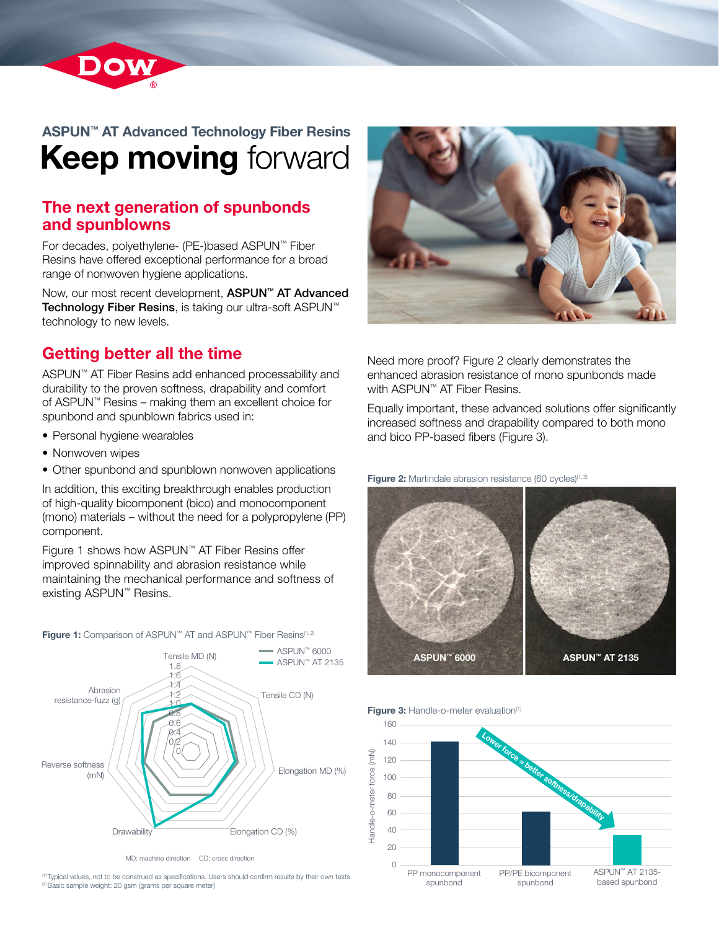

# ASPUN™ AT Advanced Technology Fiber Resins **Keep moving forward**

### The next generation of spunbonds and spunblowns

For decades, polyethylene- (PE-)based ASPUN™ Fiber Resins have offered exceptional performance for a broad range of nonwoven hygiene applications.

Now, our most recent development, **ASPUN™ AT Advanced** Technology Fiber Resins, is taking our ultra-soft ASPUN™ technology to new levels.

## Getting better all the time

ASPUN™ AT Fiber Resins add enhanced processability and durability to the proven softness, drapability and comfort of ASPUN™ Resins – making them an excellent choice for spunbond and spunblown fabrics used in:

- Personal hygiene wearables
- Nonwoven wipes
- Other spunbond and spunblown nonwoven applications

In addition, this exciting breakthrough enables production of high-quality bicomponent (bico) and monocomponent (mono) materials – without the need for a polypropylene (PP) component.

Figure 1 shows how ASPUN™ AT Fiber Resins offer improved spinnability and abrasion resistance while maintaining the mechanical performance and softness of existing ASPUN™ Resins.

0 ■ ASPUN™ AT 2135 0,2 0.4 0.6 0.8 1.0 1.2  $^{14}$ 1.6 1.8  $=$  ASPUN™ 6000 Tensile CD (N) Elongation MD (%) Reverse softness (mN) Abrasion resistance-fuzz (g) Tensile MD (N)

Figure 1: Comparison of ASPUN™ AT and ASPUN™ Fiber Resins<sup>(1,2)</sup>

MD: machine direction CD: cross direction

(1) Typical values, not to be construed as specifications. Users should confirm results by their own tests. <sup>(2)</sup> Basic sample weight: 20 gsm (grams per square meter)

Drawability **Elongation CD** (%)



Need more proof? Figure 2 clearly demonstrates the enhanced abrasion resistance of mono spunbonds made with ASPUN™ AT Fiber Resins.

Equally important, these advanced solutions offer significantly increased softness and drapability compared to both mono and bico PP-based fibers (Figure 3).

Figure 2: Martindale abrasion resistance (60 cycles)<sup>(1, 2)</sup>



Figure 3: Handle-o-meter evaluation<sup>(1)</sup>